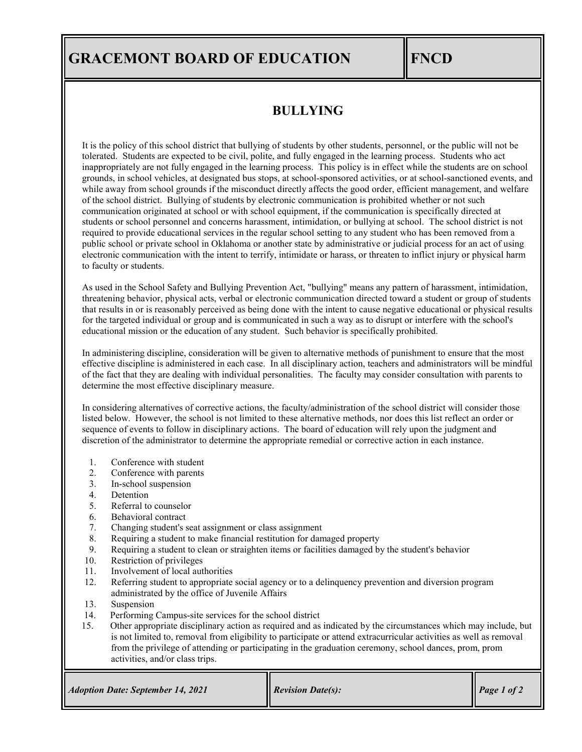## **GRACEMONT BOARD OF EDUCATION FNCD**

### **BULLYING**

It is the policy of this school district that bullying of students by other students, personnel, or the public will not be tolerated. Students are expected to be civil, polite, and fully engaged in the learning process. Students who act inappropriately are not fully engaged in the learning process. This policy is in effect while the students are on school grounds, in school vehicles, at designated bus stops, at school-sponsored activities, or at school-sanctioned events, and while away from school grounds if the misconduct directly affects the good order, efficient management, and welfare of the school district. Bullying of students by electronic communication is prohibited whether or not such communication originated at school or with school equipment, if the communication is specifically directed at students or school personnel and concerns harassment, intimidation, or bullying at school. The school district is not required to provide educational services in the regular school setting to any student who has been removed from a public school or private school in Oklahoma or another state by administrative or judicial process for an act of using electronic communication with the intent to terrify, intimidate or harass, or threaten to inflict injury or physical harm to faculty or students.

As used in the School Safety and Bullying Prevention Act, "bullying" means any pattern of harassment, intimidation, threatening behavior, physical acts, verbal or electronic communication directed toward a student or group of students that results in or is reasonably perceived as being done with the intent to cause negative educational or physical results for the targeted individual or group and is communicated in such a way as to disrupt or interfere with the school's educational mission or the education of any student. Such behavior is specifically prohibited.

In administering discipline, consideration will be given to alternative methods of punishment to ensure that the most effective discipline is administered in each case. In all disciplinary action, teachers and administrators will be mindful of the fact that they are dealing with individual personalities. The faculty may consider consultation with parents to determine the most effective disciplinary measure.

In considering alternatives of corrective actions, the faculty/administration of the school district will consider those listed below. However, the school is not limited to these alternative methods, nor does this list reflect an order or sequence of events to follow in disciplinary actions. The board of education will rely upon the judgment and discretion of the administrator to determine the appropriate remedial or corrective action in each instance.

- 1. Conference with student
- 2. Conference with parents
- 3. In-school suspension
- 4. Detention
- 5. Referral to counselor
- 6. Behavioral contract<br>7. Changing student's s
- 7. Changing student's seat assignment or class assignment
- 8. Requiring a student to make financial restitution for damaged property
- 9. Requiring a student to clean or straighten items or facilities damaged by the student's behavior
- Restriction of privileges
- 11. Involvement of local authorities
- 12. Referring student to appropriate social agency or to a delinquency prevention and diversion program administrated by the office of Juvenile Affairs
- 13. Suspension
- 14. Performing Campus-site services for the school district
- 15. Other appropriate disciplinary action as required and as indicated by the circumstances which may include, but is not limited to, removal from eligibility to participate or attend extracurricular activities as well as removal from the privilege of attending or participating in the graduation ceremony, school dances, prom, prom activities, and/or class trips.

| <b>Revision Date(s):</b><br><b>Adoption Date: September 14, 2021</b> | Page 1 of 2 |
|----------------------------------------------------------------------|-------------|
|----------------------------------------------------------------------|-------------|